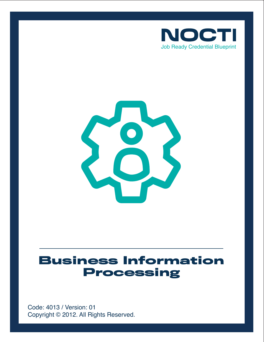



# **Business Information Processing**

Copyright © 2012. All Rights Reserved. Code: 4013 / Version: 01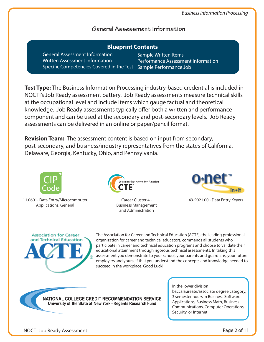nt Information

# **General Assessment Information**

| <b>Blueprint Contents</b>                                                                                                                   |                                                       |
|---------------------------------------------------------------------------------------------------------------------------------------------|-------------------------------------------------------|
| <b>General Assessment Information</b><br>Written Assessment Information<br>Specific Competencies Covered in the Test Sample Performance Job | Sample Written Items<br><b>Performance Assessment</b> |

**Test Type:** The Business Information Processing industry-based credential is included in NOCTI's Job Ready assessment battery. Job Ready assessments measure technical skills at the occupational level and include items which gauge factual and theoretical knowledge. Job Ready assessments typically offer both a written and performance component and can be used at the secondary and post-secondary levels. Job Ready assessments can be delivered in an online or paper/pencil format.

**Revision Team:** The assessment content is based on input from secondary, post-secondary, and business/industry representatives from the states of California, Delaware, Georgia, Kentucky, Ohio, and Pennsylvania.



11.0601- Data Entry/Microcomputer Applications, General



Business Management and Administration



Career Cluster 4 - 43-9021.00 - Data Entry Keyers

**Association for Career** and Technical Education The Association for Career and Technical Education (ACTE), the leading professional organization for career and technical educators, commends all students who participate in career and technical education programs and choose to validate their educational attainment through rigorous technical assessments. In taking this assessment you demonstrate to your school, your parents and guardians, your future employers and yourself that you understand the concepts and knowledge needed to succeed in the workplace. Good Luck!

NATIONAL COLLEGE CREDIT RECOMMENDATION SERVICE University of the State of New York - Regents Research Fund

In the lower division baccalaureate/associate degree category, 3 semester hours in Business Software Applications, Business Math, Business Communications, Computer Operations, Security, or Internet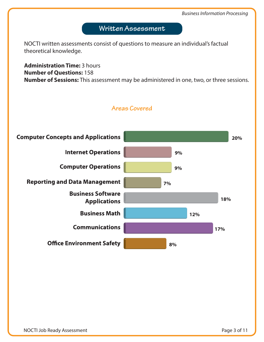# **Written Assessment**

NOCTI written assessments consist of questions to measure an individual's factual theoretical knowledge.

**Administration Time:** 3 hours **Number of Questions:** 158 **Number of Sessions:** This assessment may be administered in one, two, or three sessions.



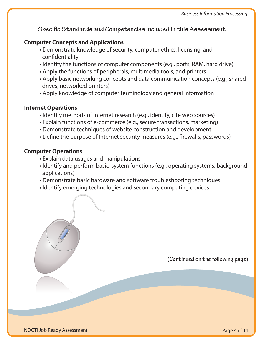# **Specific Standards and Competencies Included in this Assessment**

# **Computer Concepts and Applications**

- Demonstrate knowledge of security, computer ethics, licensing, and confidentiality
- Identify the functions of computer components (e.g., ports, RAM, hard drive)
- Apply the functions of peripherals, multimedia tools, and printers
- Apply basic networking concepts and data communication concepts (e.g., shared drives, networked printers)
- Apply knowledge of computer terminology and general information

## **Internet Operations**

- Identify methods of Internet research (e.g., identify, cite web sources)
- Explain functions of e-commerce (e.g., secure transactions, marketing)
- Demonstrate techniques of website construction and development
- Define the purpose of Internet security measures (e.g., firewalls, passwords)

## **Computer Operations**

- Explain data usages and manipulations
- Identify and perform basic system functions (e.g., operating systems, background applications)
- Demonstrate basic hardware and software troubleshooting techniques
- Identify emerging technologies and secondary computing devices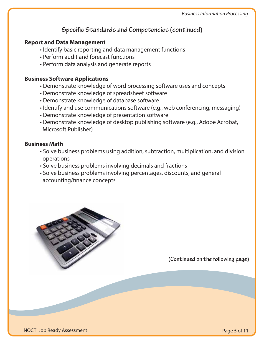# **Specific Standards and Competencies (continued)**

# **Report and Data Management**

- Identify basic reporting and data management functions
- Perform audit and forecast functions
- Perform data analysis and generate reports

## **Business Software Applications**

- Demonstrate knowledge of word processing software uses and concepts
- Demonstrate knowledge of spreadsheet software
- Demonstrate knowledge of database software
- Identify and use communications software (e.g., web conferencing, messaging)
- Demonstrate knowledge of presentation software
- Demonstrate knowledge of desktop publishing software (e.g., Adobe Acrobat, Microsoft Publisher)

## **Business Math**

- Solve business problems using addition, subtraction, multiplication, and division operations
- Solve business problems involving decimals and fractions
- Solve business problems involving percentages, discounts, and general accounting/finance concepts

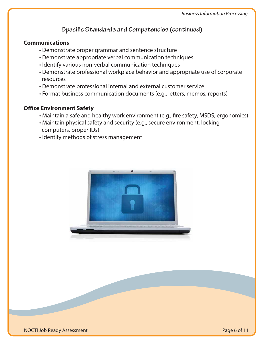# **Specific Standards and Competencies (continued)**

#### **Communications**

- Demonstrate proper grammar and sentence structure
- Demonstrate appropriate verbal communication techniques
- Identify various non-verbal communication techniques
- Demonstrate professional workplace behavior and appropriate use of corporate resources
- Demonstrate professional internal and external customer service
- Format business communication documents (e.g., letters, memos, reports)

# **Office Environment Safety**

- Maintain a safe and healthy work environment (e.g., fire safety, MSDS, ergonomics)
- Maintain physical safety and security (e.g., secure environment, locking computers, proper IDs)
- Identify methods of stress management

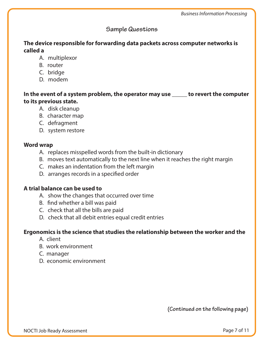# **Sample Questions**

# **The device responsible for forwarding data packets across computer networks is called a**

- A. multiplexor
- B. router
- C. bridge
- D. modem

**In the event of a system problem, the operator may use \_\_\_\_\_ to revert the computer to its previous state.** 

- A. disk cleanup
- B. character map
- C. defragment
- D. system restore

# **Word wrap**

- A. replaces misspelled words from the built-in dictionary
- B. moves text automatically to the next line when it reaches the right margin
- C. makes an indentation from the left margin
- D. arranges records in a specified order

# **A trial balance can be used to**

- A. show the changes that occurred over time
- B. find whether a bill was paid
- C. check that all the bills are paid
- D. check that all debit entries equal credit entries

## **Ergonomics is the science that studies the relationship between the worker and the**

- A. client
- B. work environment
- C. manager
- D. economic environment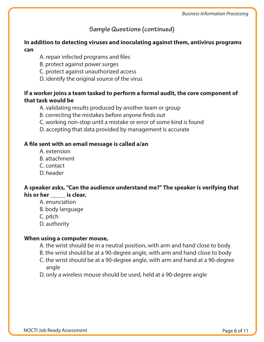# **Sample Questions (continued)**

# **In addition to detecting viruses and inoculating against them, antivirus programs can**

- A. repair infected programs and files
- B. protect against power surges
- C. protect against unauthorized access
- D. identify the original source of the virus

# **If a worker joins a team tasked to perform a formal audit, the core component of that task would be**

- A. validating results produced by another team or group
- B. correcting the mistakes before anyone finds out
- C. working non-stop until a mistake or error of some kind is found
- D. accepting that data provided by management is accurate

#### A file sent with an email message is called a/an

- A. extension
- B. attachment
- C. contact
- D. header

# **A speaker asks, ''Can the audience understand me?'' The speaker is verifying that his or her \_\_\_\_\_ is clear.**

- A. enunciation
- B. body language
- C. pitch
- D. authority

#### **When using a computer mouse,**

A. the wrist should be in a neutral position, with arm and hand close to body

- B. the wrist should be at a 90-degree angle, with arm and hand close to body
- C. the wrist should be at a 90-degree angle, with arm and hand at a 90-degree angle
- D. only a wireless mouse should be used, held at a 90-degree angle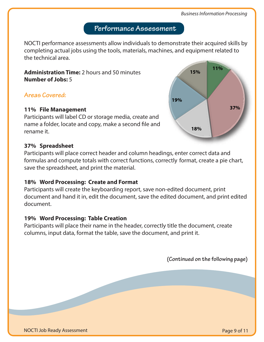# **Performance Assessment**

NOCTI performance assessments allow individuals to demonstrate their acquired skills by completing actual jobs using the tools, materials, machines, and equipment related to the technical area.

**Administration Time:** 2 hours and 50 minutes **Number of Jobs:** 5

# **Areas Covered:**

#### **11% File Management**

Participants will label CD or storage media, create and name a folder, locate and copy, make a second file and rename it.

#### **37% Spreadsheet**

Participants will place correct header and column headings, enter correct data and formulas and compute totals with correct functions, correctly format, create a pie chart, save the spreadsheet, and print the material.

## **18% Word Processing: Create and Format**

Participants will create the keyboarding report, save non-edited document, print document and hand it in, edit the document, save the edited document, and print edited document.

## **19% Word Processing: Table Creation**

Participants will place their name in the header, correctly title the document, create columns, input data, format the table, save the document, and print it.

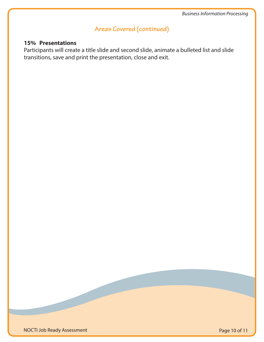# **Areas Covered (continued)**

# **15% Presentations**

Participants will create a title slide and second slide, animate a bulleted list and slide transitions, save and print the presentation, close and exit.